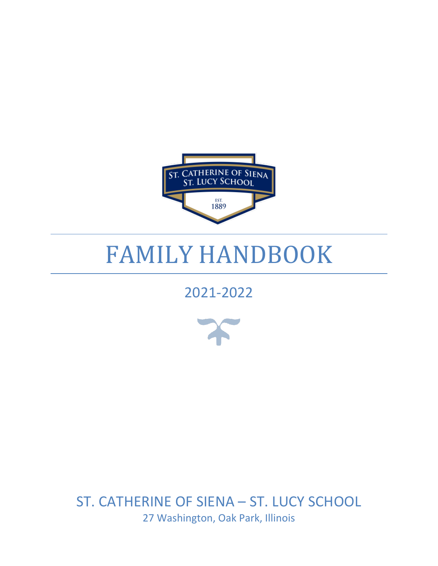

# FAMILY HANDBOOK

# 2021-2022



ST. CATHERINE OF SIENA – ST. LUCY SCHOOL 27 Washington, Oak Park, Illinois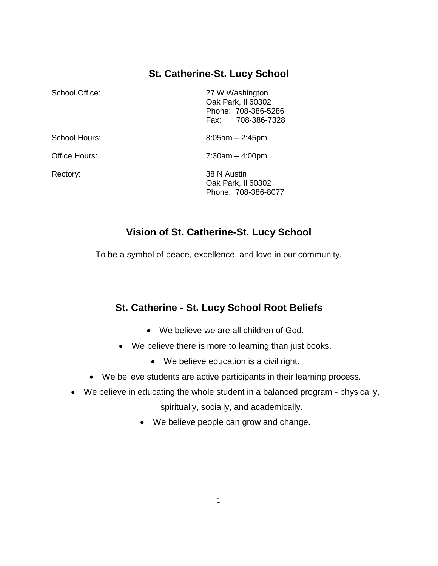# **St. Catherine-St. Lucy School**

| School Office: | 27 W Washington<br>Oak Park, II 60302<br>Phone: 708-386-5286<br>708-386-7328<br>Fax: |
|----------------|--------------------------------------------------------------------------------------|
| School Hours:  | $8:05am - 2:45pm$                                                                    |
| Office Hours:  | $7:30am - 4:00pm$                                                                    |
| Rectory:       | 38 N Austin<br>Oak Park, II 60302<br>Phone: 708-386-8077                             |

# **Vision of St. Catherine-St. Lucy School**

To be a symbol of peace, excellence, and love in our community.

# **St. Catherine - St. Lucy School Root Beliefs**

- We believe we are all children of God.
- We believe there is more to learning than just books.
	- We believe education is a civil right.
- We believe students are active participants in their learning process.
- We believe in educating the whole student in a balanced program physically, spiritually, socially, and academically.
	- We believe people can grow and change.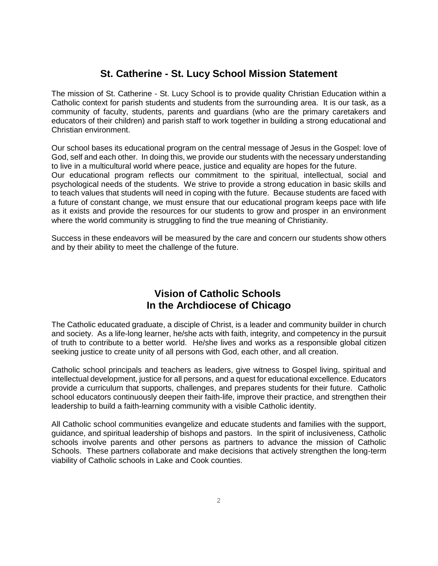# **St. Catherine - St. Lucy School Mission Statement**

The mission of St. Catherine - St. Lucy School is to provide quality Christian Education within a Catholic context for parish students and students from the surrounding area. It is our task, as a community of faculty, students, parents and guardians (who are the primary caretakers and educators of their children) and parish staff to work together in building a strong educational and Christian environment.

Our school bases its educational program on the central message of Jesus in the Gospel: love of God, self and each other. In doing this, we provide our students with the necessary understanding to live in a multicultural world where peace, justice and equality are hopes for the future.

Our educational program reflects our commitment to the spiritual, intellectual, social and psychological needs of the students. We strive to provide a strong education in basic skills and to teach values that students will need in coping with the future. Because students are faced with a future of constant change, we must ensure that our educational program keeps pace with life as it exists and provide the resources for our students to grow and prosper in an environment where the world community is struggling to find the true meaning of Christianity.

Success in these endeavors will be measured by the care and concern our students show others and by their ability to meet the challenge of the future.

# **Vision of Catholic Schools In the Archdiocese of Chicago**

The Catholic educated graduate, a disciple of Christ, is a leader and community builder in church and society. As a life-long learner, he/she acts with faith, integrity, and competency in the pursuit of truth to contribute to a better world. He/she lives and works as a responsible global citizen seeking justice to create unity of all persons with God, each other, and all creation.

Catholic school principals and teachers as leaders, give witness to Gospel living, spiritual and intellectual development, justice for all persons, and a quest for educational excellence. Educators provide a curriculum that supports, challenges, and prepares students for their future. Catholic school educators continuously deepen their faith-life, improve their practice, and strengthen their leadership to build a faith-learning community with a visible Catholic identity.

All Catholic school communities evangelize and educate students and families with the support, guidance, and spiritual leadership of bishops and pastors. In the spirit of inclusiveness, Catholic schools involve parents and other persons as partners to advance the mission of Catholic Schools. These partners collaborate and make decisions that actively strengthen the long-term viability of Catholic schools in Lake and Cook counties.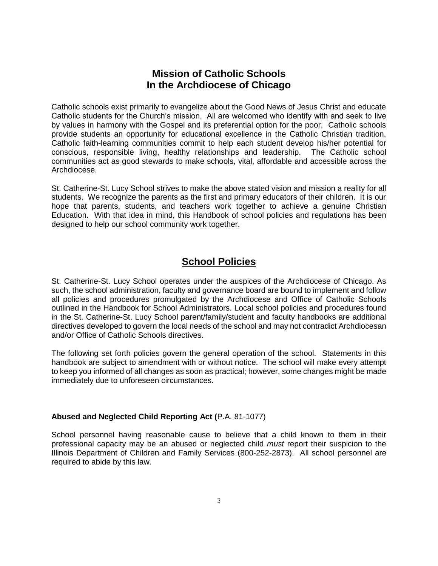# **Mission of Catholic Schools In the Archdiocese of Chicago**

Catholic schools exist primarily to evangelize about the Good News of Jesus Christ and educate Catholic students for the Church's mission. All are welcomed who identify with and seek to live by values in harmony with the Gospel and its preferential option for the poor. Catholic schools provide students an opportunity for educational excellence in the Catholic Christian tradition. Catholic faith-learning communities commit to help each student develop his/her potential for conscious, responsible living, healthy relationships and leadership. The Catholic school communities act as good stewards to make schools, vital, affordable and accessible across the Archdiocese.

St. Catherine-St. Lucy School strives to make the above stated vision and mission a reality for all students. We recognize the parents as the first and primary educators of their children. It is our hope that parents, students, and teachers work together to achieve a genuine Christian Education. With that idea in mind, this Handbook of school policies and regulations has been designed to help our school community work together.

# **School Policies**

St. Catherine-St. Lucy School operates under the auspices of the Archdiocese of Chicago. As such, the school administration, faculty and governance board are bound to implement and follow all policies and procedures promulgated by the Archdiocese and Office of Catholic Schools outlined in the Handbook for School Administrators. Local school policies and procedures found in the St. Catherine-St. Lucy School parent/family/student and faculty handbooks are additional directives developed to govern the local needs of the school and may not contradict Archdiocesan and/or Office of Catholic Schools directives.

The following set forth policies govern the general operation of the school. Statements in this handbook are subject to amendment with or without notice. The school will make every attempt to keep you informed of all changes as soon as practical; however, some changes might be made immediately due to unforeseen circumstances.

# **Abused and Neglected Child Reporting Act (**P.A. 81-1077)

School personnel having reasonable cause to believe that a child known to them in their professional capacity may be an abused or neglected child *must* report their suspicion to the Illinois Department of Children and Family Services (800-252-2873). All school personnel are required to abide by this law.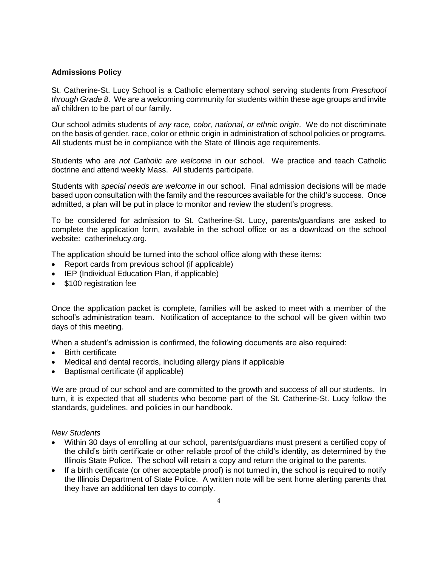# **Admissions Policy**

St. Catherine-St. Lucy School is a Catholic elementary school serving students from *Preschool through Grade 8*. We are a welcoming community for students within these age groups and invite *all* children to be part of our family.

Our school admits students of *any race, color, national, or ethnic origin*. We do not discriminate on the basis of gender, race, color or ethnic origin in administration of school policies or programs. All students must be in compliance with the State of Illinois age requirements.

Students who are *not Catholic are welcome* in our school. We practice and teach Catholic doctrine and attend weekly Mass. All students participate.

Students with *special needs are welcome* in our school. Final admission decisions will be made based upon consultation with the family and the resources available for the child's success. Once admitted, a plan will be put in place to monitor and review the student's progress.

To be considered for admission to St. Catherine-St. Lucy, parents/guardians are asked to complete the application form, available in the school office or as a download on the school website: catherinelucy.org.

The application should be turned into the school office along with these items:

- Report cards from previous school (if applicable)
- IEP (Individual Education Plan, if applicable)
- \$100 registration fee

Once the application packet is complete, families will be asked to meet with a member of the school's administration team. Notification of acceptance to the school will be given within two days of this meeting.

When a student's admission is confirmed, the following documents are also required:

- Birth certificate
- Medical and dental records, including allergy plans if applicable
- Baptismal certificate (if applicable)

We are proud of our school and are committed to the growth and success of all our students. In turn, it is expected that all students who become part of the St. Catherine-St. Lucy follow the standards, guidelines, and policies in our handbook.

#### *New Students*

- Within 30 days of enrolling at our school, parents/guardians must present a certified copy of the child's birth certificate or other reliable proof of the child's identity, as determined by the Illinois State Police. The school will retain a copy and return the original to the parents.
- If a birth certificate (or other acceptable proof) is not turned in, the school is required to notify the Illinois Department of State Police. A written note will be sent home alerting parents that they have an additional ten days to comply.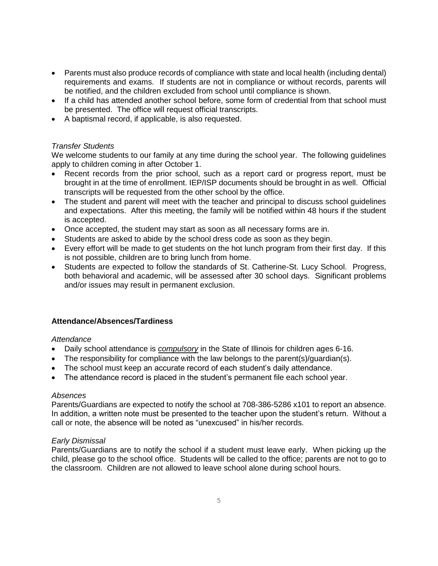- Parents must also produce records of compliance with state and local health (including dental) requirements and exams. If students are not in compliance or without records, parents will be notified, and the children excluded from school until compliance is shown.
- If a child has attended another school before, some form of credential from that school must be presented. The office will request official transcripts.
- A baptismal record, if applicable, is also requested.

# *Transfer Students*

We welcome students to our family at any time during the school year. The following guidelines apply to children coming in after October 1.

- Recent records from the prior school, such as a report card or progress report, must be brought in at the time of enrollment. IEP/ISP documents should be brought in as well. Official transcripts will be requested from the other school by the office.
- The student and parent will meet with the teacher and principal to discuss school quidelines and expectations. After this meeting, the family will be notified within 48 hours if the student is accepted.
- Once accepted, the student may start as soon as all necessary forms are in.
- Students are asked to abide by the school dress code as soon as they begin.
- Every effort will be made to get students on the hot lunch program from their first day. If this is not possible, children are to bring lunch from home.
- Students are expected to follow the standards of St. Catherine-St. Lucy School. Progress, both behavioral and academic, will be assessed after 30 school days. Significant problems and/or issues may result in permanent exclusion.

# **Attendance/Absences/Tardiness**

# *Attendance*

- Daily school attendance is *compulsory* in the State of Illinois for children ages 6-16.
- The responsibility for compliance with the law belongs to the parent(s)/guardian(s).
- The school must keep an accurate record of each student's daily attendance.
- The attendance record is placed in the student's permanent file each school year.

# *Absences*

Parents/Guardians are expected to notify the school at 708-386-5286 x101 to report an absence. In addition, a written note must be presented to the teacher upon the student's return. Without a call or note, the absence will be noted as "unexcused" in his/her records.

# *Early Dismissal*

Parents/Guardians are to notify the school if a student must leave early. When picking up the child, please go to the school office. Students will be called to the office; parents are not to go to the classroom. Children are not allowed to leave school alone during school hours.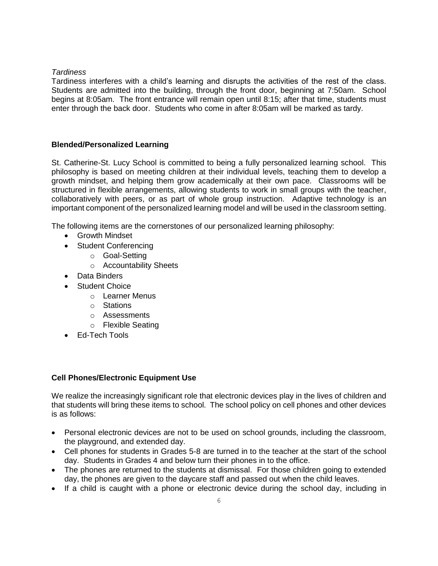# *Tardiness*

Tardiness interferes with a child's learning and disrupts the activities of the rest of the class. Students are admitted into the building, through the front door, beginning at 7:50am. School begins at 8:05am. The front entrance will remain open until 8:15; after that time, students must enter through the back door. Students who come in after 8:05am will be marked as tardy.

# **Blended/Personalized Learning**

St. Catherine-St. Lucy School is committed to being a fully personalized learning school. This philosophy is based on meeting children at their individual levels, teaching them to develop a growth mindset, and helping them grow academically at their own pace. Classrooms will be structured in flexible arrangements, allowing students to work in small groups with the teacher, collaboratively with peers, or as part of whole group instruction. Adaptive technology is an important component of the personalized learning model and will be used in the classroom setting.

The following items are the cornerstones of our personalized learning philosophy:

- Growth Mindset
- Student Conferencing
	- o Goal-Setting
		- o Accountability Sheets
- Data Binders
- Student Choice
	- o Learner Menus
	- o Stations
	- o Assessments
	- o Flexible Seating
- Ed-Tech Tools

# **Cell Phones/Electronic Equipment Use**

We realize the increasingly significant role that electronic devices play in the lives of children and that students will bring these items to school. The school policy on cell phones and other devices is as follows:

- Personal electronic devices are not to be used on school grounds, including the classroom, the playground, and extended day.
- Cell phones for students in Grades 5-8 are turned in to the teacher at the start of the school day. Students in Grades 4 and below turn their phones in to the office.
- The phones are returned to the students at dismissal. For those children going to extended day, the phones are given to the daycare staff and passed out when the child leaves.
- If a child is caught with a phone or electronic device during the school day, including in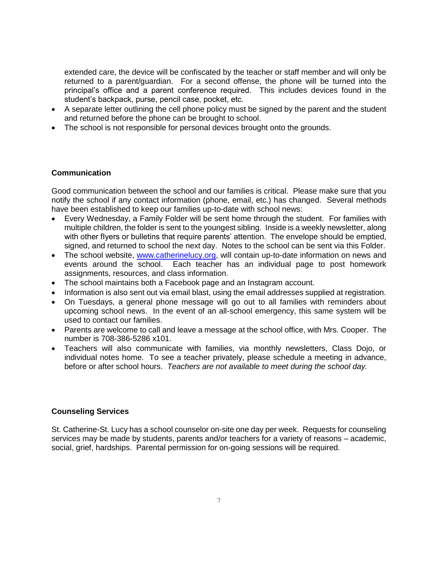extended care, the device will be confiscated by the teacher or staff member and will only be returned to a parent/guardian. For a second offense, the phone will be turned into the principal's office and a parent conference required. This includes devices found in the student's backpack, purse, pencil case, pocket, etc.

- A separate letter outlining the cell phone policy must be signed by the parent and the student and returned before the phone can be brought to school.
- The school is not responsible for personal devices brought onto the grounds.

# **Communication**

Good communication between the school and our families is critical. Please make sure that you notify the school if any contact information (phone, email, etc.) has changed. Several methods have been established to keep our families up-to-date with school news:

- Every Wednesday, a Family Folder will be sent home through the student. For families with multiple children, the folder is sent to the youngest sibling. Inside is a weekly newsletter, along with other fIyers or bulletins that require parents' attention. The envelope should be emptied, signed, and returned to school the next day. Notes to the school can be sent via this Folder.
- The school website, [www.catherinelucy.org,](http://www.catherinelucy.org/) will contain up-to-date information on news and events around the school. Each teacher has an individual page to post homework assignments, resources, and class information.
- The school maintains both a Facebook page and an Instagram account.
- Information is also sent out via email blast, using the email addresses supplied at registration.
- On Tuesdays, a general phone message will go out to all families with reminders about upcoming school news. In the event of an all-school emergency, this same system will be used to contact our families.
- Parents are welcome to call and leave a message at the school office, with Mrs. Cooper. The number is 708-386-5286 x101.
- Teachers will also communicate with families, via monthly newsletters, Class Dojo, or individual notes home. To see a teacher privately, please schedule a meeting in advance, before or after school hours. *Teachers are not available to meet during the school day.*

# **Counseling Services**

St. Catherine-St. Lucy has a school counselor on-site one day per week. Requests for counseling services may be made by students, parents and/or teachers for a variety of reasons – academic, social, grief, hardships. Parental permission for on-going sessions will be required.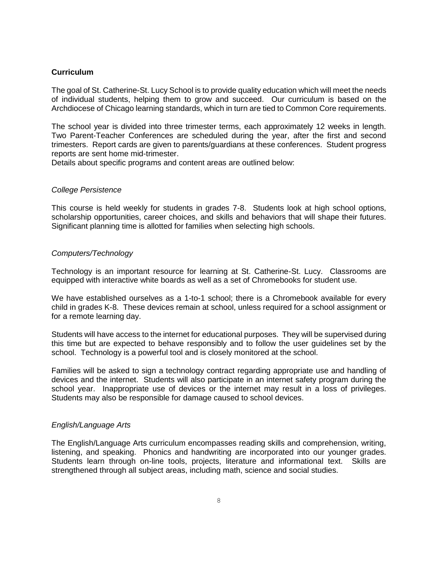# **Curriculum**

The goal of St. Catherine-St. Lucy School is to provide quality education which will meet the needs of individual students, helping them to grow and succeed. Our curriculum is based on the Archdiocese of Chicago learning standards, which in turn are tied to Common Core requirements.

The school year is divided into three trimester terms, each approximately 12 weeks in length. Two Parent-Teacher Conferences are scheduled during the year, after the first and second trimesters. Report cards are given to parents/guardians at these conferences. Student progress reports are sent home mid-trimester.

Details about specific programs and content areas are outlined below:

#### *College Persistence*

This course is held weekly for students in grades 7-8. Students look at high school options, scholarship opportunities, career choices, and skills and behaviors that will shape their futures. Significant planning time is allotted for families when selecting high schools.

#### *Computers/Technology*

Technology is an important resource for learning at St. Catherine-St. Lucy. Classrooms are equipped with interactive white boards as well as a set of Chromebooks for student use.

We have established ourselves as a 1-to-1 school; there is a Chromebook available for every child in grades K-8. These devices remain at school, unless required for a school assignment or for a remote learning day.

Students will have access to the internet for educational purposes. They will be supervised during this time but are expected to behave responsibly and to follow the user guidelines set by the school. Technology is a powerful tool and is closely monitored at the school.

Families will be asked to sign a technology contract regarding appropriate use and handling of devices and the internet. Students will also participate in an internet safety program during the school year. Inappropriate use of devices or the internet may result in a loss of privileges. Students may also be responsible for damage caused to school devices.

# *English/Language Arts*

The English/Language Arts curriculum encompasses reading skills and comprehension, writing, listening, and speaking. Phonics and handwriting are incorporated into our younger grades. Students learn through on-line tools, projects, literature and informational text. Skills are strengthened through all subject areas, including math, science and social studies.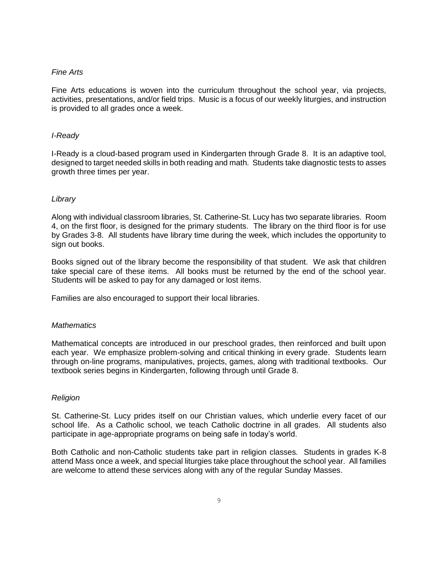### *Fine Arts*

Fine Arts educations is woven into the curriculum throughout the school year, via projects, activities, presentations, and/or field trips. Music is a focus of our weekly liturgies, and instruction is provided to all grades once a week.

#### *I-Ready*

I-Ready is a cloud-based program used in Kindergarten through Grade 8. It is an adaptive tool, designed to target needed skills in both reading and math. Students take diagnostic tests to asses growth three times per year.

# *Library*

Along with individual classroom libraries, St. Catherine-St. Lucy has two separate libraries. Room 4, on the first floor, is designed for the primary students. The library on the third floor is for use by Grades 3-8. All students have library time during the week, which includes the opportunity to sign out books.

Books signed out of the library become the responsibility of that student. We ask that children take special care of these items. All books must be returned by the end of the school year. Students will be asked to pay for any damaged or lost items.

Families are also encouraged to support their local libraries.

#### *Mathematics*

Mathematical concepts are introduced in our preschool grades, then reinforced and built upon each year. We emphasize problem-solving and critical thinking in every grade. Students learn through on-line programs, manipulatives, projects, games, along with traditional textbooks. Our textbook series begins in Kindergarten, following through until Grade 8.

#### *Religion*

St. Catherine-St. Lucy prides itself on our Christian values, which underlie every facet of our school life. As a Catholic school, we teach Catholic doctrine in all grades. All students also participate in age-appropriate programs on being safe in today's world.

Both Catholic and non-Catholic students take part in religion classes. Students in grades K-8 attend Mass once a week, and special liturgies take place throughout the school year. All families are welcome to attend these services along with any of the regular Sunday Masses.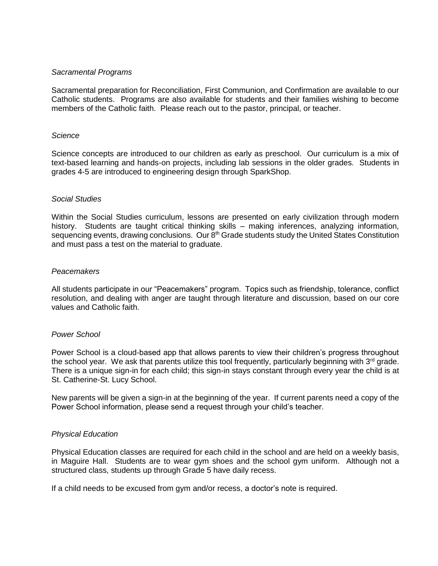# *Sacramental Programs*

Sacramental preparation for Reconciliation, First Communion, and Confirmation are available to our Catholic students. Programs are also available for students and their families wishing to become members of the Catholic faith. Please reach out to the pastor, principal, or teacher.

### *Science*

Science concepts are introduced to our children as early as preschool. Our curriculum is a mix of text-based learning and hands-on projects, including lab sessions in the older grades. Students in grades 4-5 are introduced to engineering design through SparkShop.

# *Social Studies*

Within the Social Studies curriculum, lessons are presented on early civilization through modern history. Students are taught critical thinking skills – making inferences, analyzing information, sequencing events, drawing conclusions. Our 8<sup>th</sup> Grade students study the United States Constitution and must pass a test on the material to graduate.

#### *Peacemakers*

All students participate in our "Peacemakers" program. Topics such as friendship, tolerance, conflict resolution, and dealing with anger are taught through literature and discussion, based on our core values and Catholic faith.

# *Power School*

Power School is a cloud-based app that allows parents to view their children's progress throughout the school year. We ask that parents utilize this tool frequently, particularly beginning with  $3<sup>rd</sup>$  grade. There is a unique sign-in for each child; this sign-in stays constant through every year the child is at St. Catherine-St. Lucy School.

New parents will be given a sign-in at the beginning of the year. If current parents need a copy of the Power School information, please send a request through your child's teacher.

# *Physical Education*

Physical Education classes are required for each child in the school and are held on a weekly basis, in Maguire Hall. Students are to wear gym shoes and the school gym uniform. Although not a structured class, students up through Grade 5 have daily recess.

If a child needs to be excused from gym and/or recess, a doctor's note is required.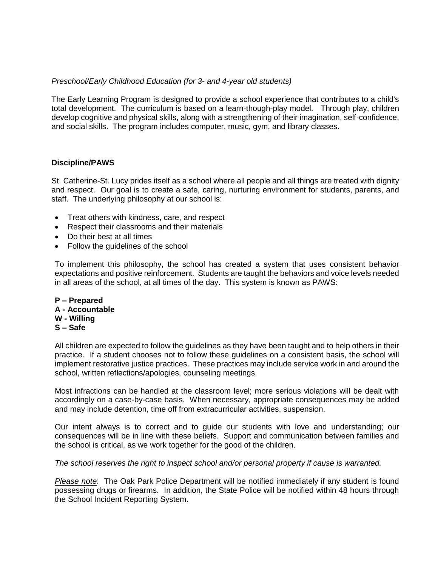# *Preschool/Early Childhood Education (for 3- and 4-year old students)*

The Early Learning Program is designed to provide a school experience that contributes to a child's total development. The curriculum is based on a learn-though-play model. Through play, children develop cognitive and physical skills, along with a strengthening of their imagination, self-confidence, and social skills. The program includes computer, music, gym, and library classes.

# **Discipline/PAWS**

St. Catherine-St. Lucy prides itself as a school where all people and all things are treated with dignity and respect. Our goal is to create a safe, caring, nurturing environment for students, parents, and staff. The underlying philosophy at our school is:

- Treat others with kindness, care, and respect
- Respect their classrooms and their materials
- Do their best at all times
- Follow the guidelines of the school

To implement this philosophy, the school has created a system that uses consistent behavior expectations and positive reinforcement. Students are taught the behaviors and voice levels needed in all areas of the school, at all times of the day. This system is known as PAWS:

**P – Prepared A - Accountable W - Willing S – Safe**

All children are expected to follow the guidelines as they have been taught and to help others in their practice. If a student chooses not to follow these guidelines on a consistent basis, the school will implement restorative justice practices. These practices may include service work in and around the school, written reflections/apologies, counseling meetings.

Most infractions can be handled at the classroom level; more serious violations will be dealt with accordingly on a case-by-case basis. When necessary, appropriate consequences may be added and may include detention, time off from extracurricular activities, suspension.

Our intent always is to correct and to guide our students with love and understanding; our consequences will be in line with these beliefs. Support and communication between families and the school is critical, as we work together for the good of the children.

*The school reserves the right to inspect school and/or personal property if cause is warranted.*

*Please note*: The Oak Park Police Department will be notified immediately if any student is found possessing drugs or firearms. In addition, the State Police will be notified within 48 hours through the School Incident Reporting System.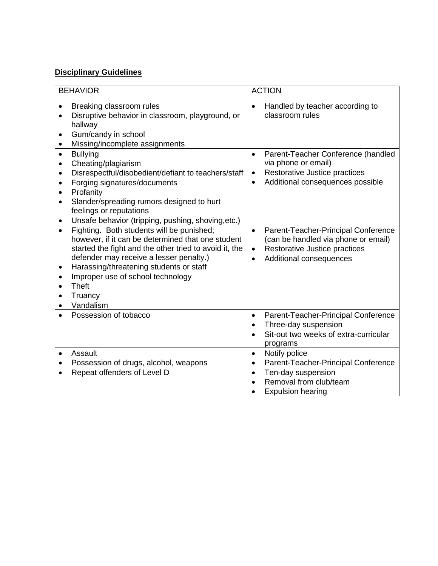# **Disciplinary Guidelines**

| <b>BEHAVIOR</b>                     |                                                                                                                                                                                                                                                                                                                       | <b>ACTION</b>                                    |                                                                                                                                                                       |  |
|-------------------------------------|-----------------------------------------------------------------------------------------------------------------------------------------------------------------------------------------------------------------------------------------------------------------------------------------------------------------------|--------------------------------------------------|-----------------------------------------------------------------------------------------------------------------------------------------------------------------------|--|
| $\bullet$<br>$\bullet$<br>٠         | Breaking classroom rules<br>Disruptive behavior in classroom, playground, or<br>hallway<br>Gum/candy in school<br>Missing/incomplete assignments                                                                                                                                                                      | $\bullet$                                        | Handled by teacher according to<br>classroom rules                                                                                                                    |  |
| $\bullet$<br>$\bullet$<br>$\bullet$ | <b>Bullying</b><br>Cheating/plagiarism<br>Disrespectful/disobedient/defiant to teachers/staff<br>Forging signatures/documents<br>Profanity<br>Slander/spreading rumors designed to hurt<br>feelings or reputations<br>Unsafe behavior (tripping, pushing, shoving, etc.)<br>Fighting. Both students will be punished; | $\bullet$<br>$\bullet$<br>$\bullet$<br>$\bullet$ | Parent-Teacher Conference (handled<br>via phone or email)<br>Restorative Justice practices<br>Additional consequences possible<br>Parent-Teacher-Principal Conference |  |
| $\bullet$<br>$\bullet$              | however, if it can be determined that one student<br>started the fight and the other tried to avoid it, the<br>defender may receive a lesser penalty.)<br>Harassing/threatening students or staff<br>Improper use of school technology<br><b>Theft</b><br>Truancy<br>Vandalism                                        | $\bullet$<br>$\bullet$                           | (can be handled via phone or email)<br>Restorative Justice practices<br>Additional consequences                                                                       |  |
|                                     | Possession of tobacco                                                                                                                                                                                                                                                                                                 | $\bullet$<br>$\bullet$<br>$\bullet$              | Parent-Teacher-Principal Conference<br>Three-day suspension<br>Sit-out two weeks of extra-curricular<br>programs                                                      |  |
| $\bullet$                           | Assault<br>Possession of drugs, alcohol, weapons<br>Repeat offenders of Level D                                                                                                                                                                                                                                       | $\bullet$<br>$\bullet$<br>$\bullet$              | Notify police<br>Parent-Teacher-Principal Conference<br>Ten-day suspension<br>Removal from club/team<br><b>Expulsion hearing</b>                                      |  |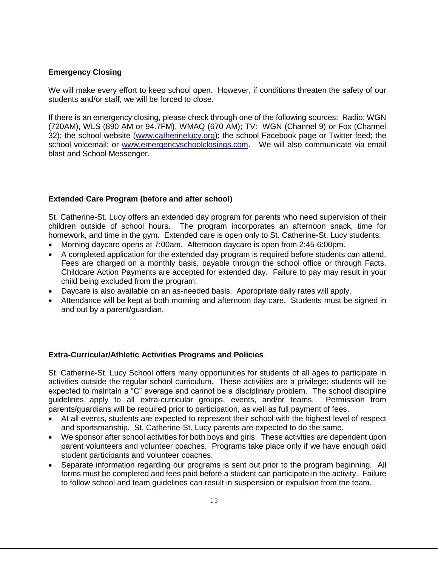# **Emergency Closing**

We will make every effort to keep school open. However, if conditions threaten the safety of our students and/or staff, we will be forced to close.

If there is an emergency closing, please check through one of the following sources: Radio: WGN (720AM), WLS (890 AM or 94.7FM), WMAQ (670 AM); TV: WGN (Channel 9) or Fox (Channel 32); the school website [\(www.catherinelucy.org\)](http://www.catherinelucy.org/); the school Facebook page or Twitter feed; the school voicemail; or [www.emergencyschoolclosings.com.](http://www.emergencyclosings.com/) We will also communicate via email blast and School Messenger.

# **Extended Care Program (before and after school)**

St. Catherine-St. Lucy offers an extended day program for parents who need supervision of their children outside of school hours. The program incorporates an afternoon snack, time for homework, and time in the gym. Extended care is open only to St. Catherine-St. Lucy students.

- Morning daycare opens at 7:00am. Afternoon daycare is open from 2:45-6:00pm.
- A completed application for the extended day program is required before students can attend. Fees are charged on a monthly basis, payable through the school office or through Facts. Childcare Action Payments are accepted for extended day. Failure to pay may result in your child being excluded from the program.
- Daycare is also available on an as-needed basis. Appropriate daily rates will apply.
- Attendance will be kept at both morning and afternoon day care. Students must be signed in and out by a parent/guardian.

# **Extra-Curricular/Athletic Activities Programs and Policies**

St. Catherine-St. Lucy School offers many opportunities for students of all ages to participate in activities outside the regular school curriculum. These activities are a privilege; students will be expected to maintain a "C" average and cannot be a disciplinary problem. The school discipline guidelines apply to all extra-curricular groups, events, and/or teams. Permission from parents/guardians will be required prior to participation, as well as full payment of fees.

- At all events, students are expected to represent their school with the highest level of respect and sportsmanship. St. Catherine-St. Lucy parents are expected to do the same.
- We sponsor after school activities for both boys and girls. These activities are dependent upon parent volunteers and volunteer coaches. Programs take place only if we have enough paid student participants and volunteer coaches.
- Separate information regarding our programs is sent out prior to the program beginning. All forms must be completed and fees paid before a student can participate in the activity. Failure to follow school and team guidelines can result in suspension or expulsion from the team.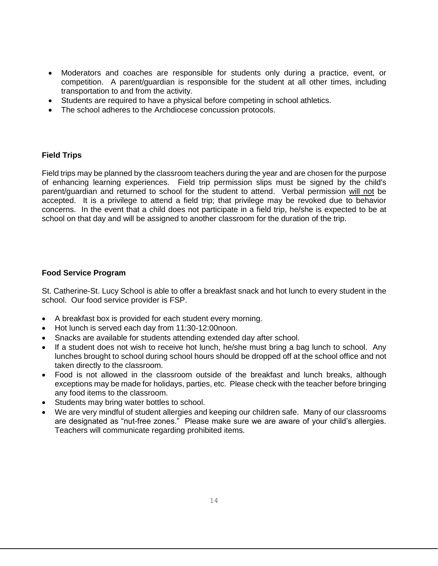- Moderators and coaches are responsible for students only during a practice, event, or competition. A parent/guardian is responsible for the student at all other times, including transportation to and from the activity.
- Students are required to have a physical before competing in school athletics.
- The school adheres to the Archdiocese concussion protocols.

# **Field Trips**

Field trips may be planned by the classroom teachers during the year and are chosen for the purpose of enhancing learning experiences. Field trip permission slips must be signed by the child's parent/guardian and returned to school for the student to attend. Verbal permission will not be accepted. It is a privilege to attend a field trip; that privilege may be revoked due to behavior concerns. In the event that a child does not participate in a field trip, he/she is expected to be at school on that day and will be assigned to another classroom for the duration of the trip.

# **Food Service Program**

St. Catherine-St. Lucy School is able to offer a breakfast snack and hot lunch to every student in the school. Our food service provider is FSP.

- A breakfast box is provided for each student every morning.
- Hot lunch is served each day from 11:30-12:00noon.
- Snacks are available for students attending extended day after school.
- If a student does not wish to receive hot lunch, he/she must bring a bag lunch to school. Any lunches brought to school during school hours should be dropped off at the school office and not taken directly to the classroom.
- Food is not allowed in the classroom outside of the breakfast and lunch breaks, although exceptions may be made for holidays, parties, etc. Please check with the teacher before bringing any food items to the classroom.
- Students may bring water bottles to school.
- We are very mindful of student allergies and keeping our children safe. Many of our classrooms are designated as "nut-free zones." Please make sure we are aware of your child's allergies. Teachers will communicate regarding prohibited items.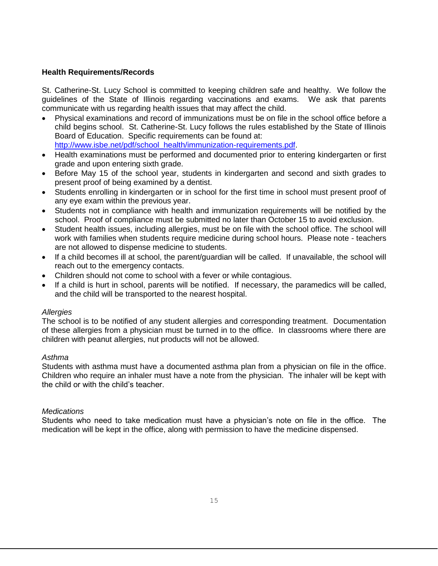# **Health Requirements/Records**

St. Catherine-St. Lucy School is committed to keeping children safe and healthy. We follow the guidelines of the State of Illinois regarding vaccinations and exams. We ask that parents communicate with us regarding health issues that may affect the child.

- Physical examinations and record of immunizations must be on file in the school office before a child begins school. St. Catherine-St. Lucy follows the rules established by the State of Illinois Board of Education. Specific requirements can be found at: [http://www.isbe.net/pdf/school\\_health/immunization-requirements.pdf.](http://www.isbe.net/pdf/school_health/immunization-requirements.pdf)
- Health examinations must be performed and documented prior to entering kindergarten or first grade and upon entering sixth grade.
- Before May 15 of the school year, students in kindergarten and second and sixth grades to present proof of being examined by a dentist.
- Students enrolling in kindergarten or in school for the first time in school must present proof of any eye exam within the previous year.
- Students not in compliance with health and immunization requirements will be notified by the school. Proof of compliance must be submitted no later than October 15 to avoid exclusion.
- Student health issues, including allergies, must be on file with the school office. The school will work with families when students require medicine during school hours. Please note - teachers are not allowed to dispense medicine to students.
- If a child becomes ill at school, the parent/guardian will be called. If unavailable, the school will reach out to the emergency contacts.
- Children should not come to school with a fever or while contagious.
- If a child is hurt in school, parents will be notified. If necessary, the paramedics will be called, and the child will be transported to the nearest hospital.

# *Allergies*

The school is to be notified of any student allergies and corresponding treatment. Documentation of these allergies from a physician must be turned in to the office. In classrooms where there are children with peanut allergies, nut products will not be allowed.

# *Asthma*

Students with asthma must have a documented asthma plan from a physician on file in the office. Children who require an inhaler must have a note from the physician. The inhaler will be kept with the child or with the child's teacher.

# *Medications*

Students who need to take medication must have a physician's note on file in the office. The medication will be kept in the office, along with permission to have the medicine dispensed.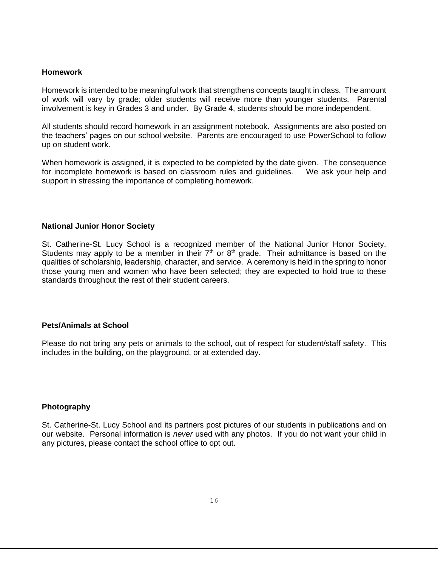#### **Homework**

Homework is intended to be meaningful work that strengthens concepts taught in class. The amount of work will vary by grade; older students will receive more than younger students. Parental involvement is key in Grades 3 and under. By Grade 4, students should be more independent.

All students should record homework in an assignment notebook. Assignments are also posted on the teachers' pages on our school website. Parents are encouraged to use PowerSchool to follow up on student work.

When homework is assigned, it is expected to be completed by the date given. The consequence for incomplete homework is based on classroom rules and guidelines. We ask your help and support in stressing the importance of completing homework.

#### **National Junior Honor Society**

St. Catherine-St. Lucy School is a recognized member of the National Junior Honor Society. Students may apply to be a member in their  $7<sup>th</sup>$  or  $8<sup>th</sup>$  grade. Their admittance is based on the qualities of scholarship, leadership, character, and service. A ceremony is held in the spring to honor those young men and women who have been selected; they are expected to hold true to these standards throughout the rest of their student careers.

# **Pets/Animals at School**

Please do not bring any pets or animals to the school, out of respect for student/staff safety. This includes in the building, on the playground, or at extended day.

# **Photography**

St. Catherine-St. Lucy School and its partners post pictures of our students in publications and on our website. Personal information is *never* used with any photos. If you do not want your child in any pictures, please contact the school office to opt out.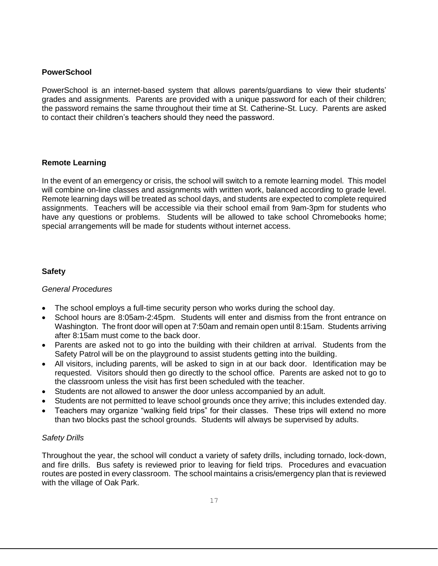# **PowerSchool**

PowerSchool is an internet-based system that allows parents/guardians to view their students' grades and assignments. Parents are provided with a unique password for each of their children; the password remains the same throughout their time at St. Catherine-St. Lucy. Parents are asked to contact their children's teachers should they need the password.

# **Remote Learning**

In the event of an emergency or crisis, the school will switch to a remote learning model. This model will combine on-line classes and assignments with written work, balanced according to grade level. Remote learning days will be treated as school days, and students are expected to complete required assignments. Teachers will be accessible via their school email from 9am-3pm for students who have any questions or problems. Students will be allowed to take school Chromebooks home; special arrangements will be made for students without internet access.

# **Safety**

# *General Procedures*

- The school employs a full-time security person who works during the school day.
- School hours are 8:05am-2:45pm. Students will enter and dismiss from the front entrance on Washington. The front door will open at 7:50am and remain open until 8:15am. Students arriving after 8:15am must come to the back door.
- Parents are asked not to go into the building with their children at arrival. Students from the Safety Patrol will be on the playground to assist students getting into the building.
- All visitors, including parents, will be asked to sign in at our back door. Identification may be requested. Visitors should then go directly to the school office. Parents are asked not to go to the classroom unless the visit has first been scheduled with the teacher.
- Students are not allowed to answer the door unless accompanied by an adult.
- Students are not permitted to leave school grounds once they arrive; this includes extended day.
- Teachers may organize "walking field trips" for their classes. These trips will extend no more than two blocks past the school grounds. Students will always be supervised by adults.

# *Safety Drills*

Throughout the year, the school will conduct a variety of safety drills, including tornado, lock-down, and fire drills. Bus safety is reviewed prior to leaving for field trips. Procedures and evacuation routes are posted in every classroom. The school maintains a crisis/emergency plan that is reviewed with the village of Oak Park.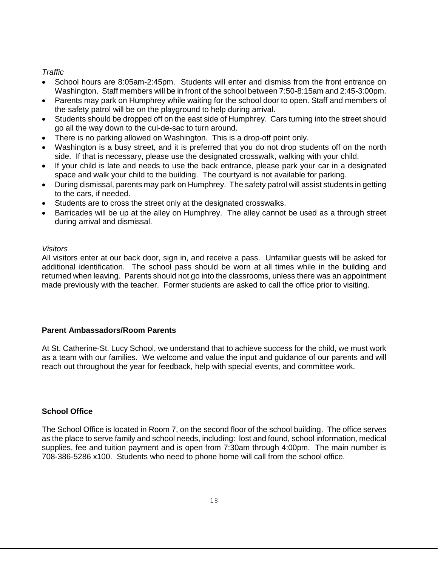# *Traffic*

- School hours are 8:05am-2:45pm. Students will enter and dismiss from the front entrance on Washington. Staff members will be in front of the school between 7:50-8:15am and 2:45-3:00pm.
- Parents may park on Humphrey while waiting for the school door to open. Staff and members of the safety patrol will be on the playground to help during arrival.
- Students should be dropped off on the east side of Humphrey. Cars turning into the street should go all the way down to the cul-de-sac to turn around.
- There is no parking allowed on Washington. This is a drop-off point only.
- Washington is a busy street, and it is preferred that you do not drop students off on the north side. If that is necessary, please use the designated crosswalk, walking with your child.
- If your child is late and needs to use the back entrance, please park your car in a designated space and walk your child to the building. The courtyard is not available for parking.
- During dismissal, parents may park on Humphrey. The safety patrol will assist students in getting to the cars, if needed.
- Students are to cross the street only at the designated crosswalks.
- Barricades will be up at the alley on Humphrey. The alley cannot be used as a through street during arrival and dismissal.

# *Visitors*

All visitors enter at our back door, sign in, and receive a pass. Unfamiliar guests will be asked for additional identification. The school pass should be worn at all times while in the building and returned when leaving. Parents should not go into the classrooms, unless there was an appointment made previously with the teacher. Former students are asked to call the office prior to visiting.

# **Parent Ambassadors/Room Parents**

At St. Catherine-St. Lucy School, we understand that to achieve success for the child, we must work as a team with our families. We welcome and value the input and guidance of our parents and will reach out throughout the year for feedback, help with special events, and committee work.

# **School Office**

The School Office is located in Room 7, on the second floor of the school building. The office serves as the place to serve family and school needs, including: lost and found, school information, medical supplies, fee and tuition payment and is open from 7:30am through 4:00pm. The main number is 708-386-5286 x100. Students who need to phone home will call from the school office.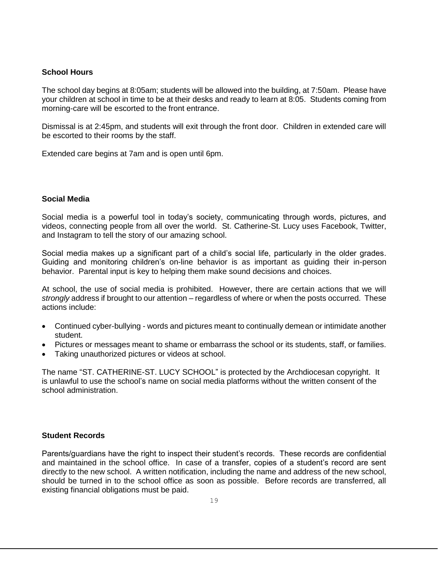# **School Hours**

The school day begins at 8:05am; students will be allowed into the building, at 7:50am. Please have your children at school in time to be at their desks and ready to learn at 8:05. Students coming from morning-care will be escorted to the front entrance.

Dismissal is at 2:45pm, and students will exit through the front door. Children in extended care will be escorted to their rooms by the staff.

Extended care begins at 7am and is open until 6pm.

# **Social Media**

Social media is a powerful tool in today's society, communicating through words, pictures, and videos, connecting people from all over the world. St. Catherine-St. Lucy uses Facebook, Twitter, and Instagram to tell the story of our amazing school.

Social media makes up a significant part of a child's social life, particularly in the older grades. Guiding and monitoring children's on-line behavior is as important as guiding their in-person behavior. Parental input is key to helping them make sound decisions and choices.

At school, the use of social media is prohibited. However, there are certain actions that we will *strongly* address if brought to our attention – regardless of where or when the posts occurred. These actions include:

- Continued cyber-bullying words and pictures meant to continually demean or intimidate another student.
- Pictures or messages meant to shame or embarrass the school or its students, staff, or families.
- Taking unauthorized pictures or videos at school.

The name "ST. CATHERINE-ST. LUCY SCHOOL" is protected by the Archdiocesan copyright. It is unlawful to use the school's name on social media platforms without the written consent of the school administration.

# **Student Records**

Parents/guardians have the right to inspect their student's records. These records are confidential and maintained in the school office. In case of a transfer, copies of a student's record are sent directly to the new school. A written notification, including the name and address of the new school, should be turned in to the school office as soon as possible. Before records are transferred, all existing financial obligations must be paid.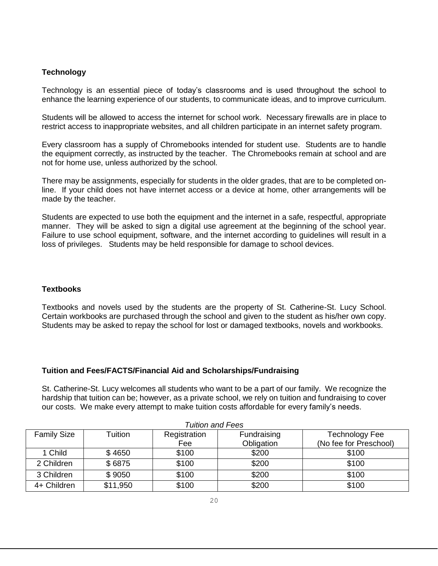# **Technology**

Technology is an essential piece of today's classrooms and is used throughout the school to enhance the learning experience of our students, to communicate ideas, and to improve curriculum.

Students will be allowed to access the internet for school work. Necessary firewalls are in place to restrict access to inappropriate websites, and all children participate in an internet safety program.

Every classroom has a supply of Chromebooks intended for student use. Students are to handle the equipment correctly, as instructed by the teacher. The Chromebooks remain at school and are not for home use, unless authorized by the school.

There may be assignments, especially for students in the older grades, that are to be completed online. If your child does not have internet access or a device at home, other arrangements will be made by the teacher.

Students are expected to use both the equipment and the internet in a safe, respectful, appropriate manner. They will be asked to sign a digital use agreement at the beginning of the school year. Failure to use school equipment, software, and the internet according to guidelines will result in a loss of privileges. Students may be held responsible for damage to school devices.

# **Textbooks**

Textbooks and novels used by the students are the property of St. Catherine-St. Lucy School. Certain workbooks are purchased through the school and given to the student as his/her own copy. Students may be asked to repay the school for lost or damaged textbooks, novels and workbooks.

# **Tuition and Fees/FACTS/Financial Aid and Scholarships/Fundraising**

St. Catherine-St. Lucy welcomes all students who want to be a part of our family. We recognize the hardship that tuition can be; however, as a private school, we rely on tuition and fundraising to cover our costs. We make every attempt to make tuition costs affordable for every family's needs.

| I uition and Fees  |          |              |             |                        |  |
|--------------------|----------|--------------|-------------|------------------------|--|
| <b>Family Size</b> | Tuition  | Registration | Fundraising | <b>Technology Fee</b>  |  |
|                    |          | Fee          | Obligation  | (No fee for Preschool) |  |
| 1 Child            | \$4650   | \$100        | \$200       | \$100                  |  |
| 2 Children         | \$6875   | \$100        | \$200       | \$100                  |  |
| 3 Children         | \$9050   | \$100        | \$200       | \$100                  |  |
| 4+ Children        | \$11,950 | \$100        | \$200       | \$100                  |  |

*Tuition and Fees*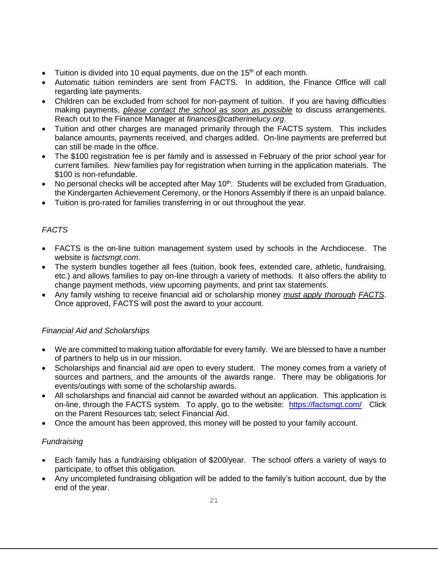- Tuition is divided into 10 equal payments, due on the 15<sup>th</sup> of each month.
- Automatic tuition reminders are sent from FACTS. In addition, the Finance Office will call regarding late payments.
- Children can be excluded from school for non-payment of tuition. If you are having difficulties making payments, *please contact the school as soon as possible* to discuss arrangements. Reach out to the Finance Manager at *finances@catherinelucy.org*.
- Tuition and other charges are managed primarily through the FACTS system. This includes balance amounts, payments received, and charges added. On-line payments are preferred but can still be made in the office.
- The \$100 registration fee is per family and is assessed in February of the prior school year for current families. New families pay for registration when turning in the application materials. The \$100 is non-refundable.
- No personal checks will be accepted after May  $10<sup>th</sup>$ . Students will be excluded from Graduation, the Kindergarten Achievement Ceremony, or the Honors Assembly if there is an unpaid balance.
- Tuition is pro-rated for families transferring in or out throughout the year.

# *FACTS*

- FACTS is the on-line tuition management system used by schools in the Archdiocese. The website is *factsmgt.com*.
- The system bundles together all fees (tuition, book fees, extended care, athletic, fundraising, etc.) and allows families to pay on-line through a variety of methods. It also offers the ability to change payment methods, view upcoming payments, and print tax statements.
- Any family wishing to receive financial aid or scholarship money *must apply thorough FACTS*. Once approved, FACTS will post the award to your account.

# *Financial Aid and Scholarships*

- We are committed to making tuition affordable for every family. We are blessed to have a number of partners to help us in our mission.
- Scholarships and financial aid are open to every student. The money comes from a variety of sources and partners, and the amounts of the awards range. There may be obligations for events/outings with some of the scholarship awards.
- All scholarships and financial aid cannot be awarded without an application. This application is on-line, through the FACTS system. To apply, go to the website: <https://factsmgt.com/>Click on the Parent Resources tab; select Financial Aid.
- Once the amount has been approved, this money will be posted to your family account.

# *Fundraising*

- Each family has a fundraising obligation of \$200/year. The school offers a variety of ways to participate, to offset this obligation.
- Any uncompleted fundraising obligation will be added to the family's tuition account, due by the end of the year.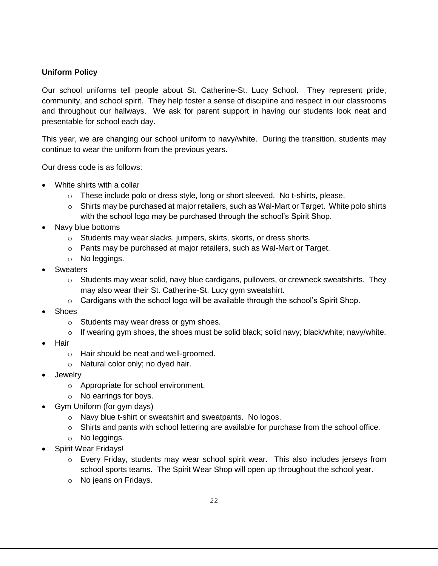# **Uniform Policy**

Our school uniforms tell people about St. Catherine-St. Lucy School. They represent pride, community, and school spirit. They help foster a sense of discipline and respect in our classrooms and throughout our hallways. We ask for parent support in having our students look neat and presentable for school each day.

This year, we are changing our school uniform to navy/white. During the transition, students may continue to wear the uniform from the previous years.

Our dress code is as follows:

- White shirts with a collar
	- $\circ$  These include polo or dress style, long or short sleeved. No t-shirts, please.
	- $\circ$  Shirts may be purchased at major retailers, such as Wal-Mart or Target. White polo shirts with the school logo may be purchased through the school's Spirit Shop.
- Navy blue bottoms
	- o Students may wear slacks, jumpers, skirts, skorts, or dress shorts.
	- o Pants may be purchased at major retailers, such as Wal-Mart or Target.
	- o No leggings.
- **Sweaters** 
	- $\circ$  Students may wear solid, navy blue cardigans, pullovers, or crewneck sweatshirts. They may also wear their St. Catherine-St. Lucy gym sweatshirt.
	- $\circ$  Cardigans with the school logo will be available through the school's Spirit Shop.
- Shoes
	- o Students may wear dress or gym shoes.
	- $\circ$  If wearing gym shoes, the shoes must be solid black; solid navy; black/white; navy/white.
- Hair
	- o Hair should be neat and well-groomed.
	- o Natural color only; no dyed hair.
- Jewelry
	- o Appropriate for school environment.
	- o No earrings for boys.
- Gym Uniform (for gym days)
	- o Navy blue t-shirt or sweatshirt and sweatpants. No logos.
	- $\circ$  Shirts and pants with school lettering are available for purchase from the school office.
	- o No leggings.
- Spirit Wear Fridays!
	- o Every Friday, students may wear school spirit wear. This also includes jerseys from school sports teams. The Spirit Wear Shop will open up throughout the school year.
	- o No jeans on Fridays.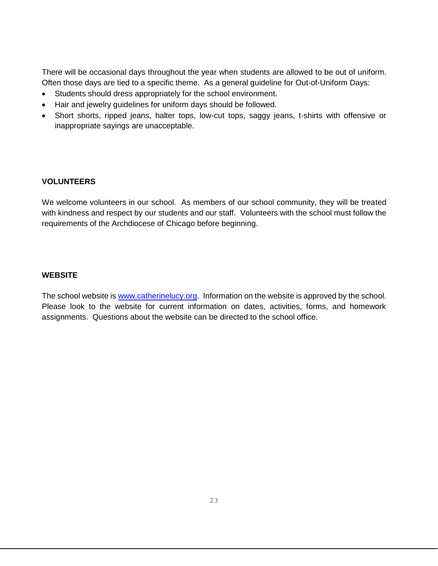There will be occasional days throughout the year when students are allowed to be out of uniform. Often those days are tied to a specific theme. As a general guideline for Out-of-Uniform Days:

- Students should dress appropriately for the school environment.
- Hair and jewelry guidelines for uniform days should be followed.
- Short shorts, ripped jeans, halter tops, low-cut tops, saggy jeans, t-shirts with offensive or inappropriate sayings are unacceptable.

# **VOLUNTEERS**

We welcome volunteers in our school. As members of our school community, they will be treated with kindness and respect by our students and our staff. Volunteers with the school must follow the requirements of the Archdiocese of Chicago before beginning.

# **WEBSITE**

The school website is [www.catherinelucy.org.](http://www.catherinelucy.org/) Information on the website is approved by the school. Please look to the website for current information on dates, activities, forms, and homework assignments. Questions about the website can be directed to the school office.